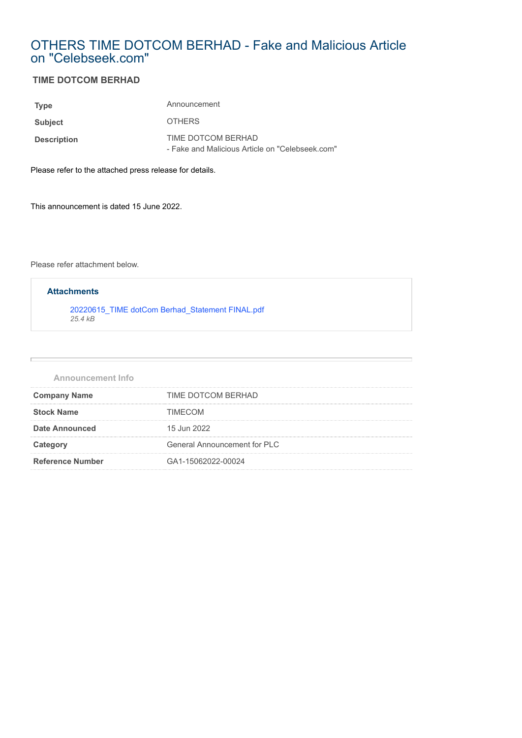# OTHERS TIME DOTCOM BERHAD - Fake and Malicious Article on "Celebseek.com"

### **TIME DOTCOM BERHAD**

| <b>Type</b>        | Announcement                                                          |
|--------------------|-----------------------------------------------------------------------|
| <b>Subject</b>     | <b>OTHERS</b>                                                         |
| <b>Description</b> | TIME DOTCOM BERHAD<br>- Fake and Malicious Article on "Celebseek.com" |

Please refer to the attached press release for details.

This announcement is dated 15 June 2022.

Please refer attachment below.

## [20220615\\_TIME dotCom Berhad\\_Statement FINAL.pdf](https://disclosure.bursamalaysia.com/FileAccess/apbursaweb/download?id=126951&name=EA_GA_ATTACHMENTS) *25.4 kB* **Attachments**

| <b>Announcement Info</b> |                              |
|--------------------------|------------------------------|
| <b>Company Name</b>      | TIME DOTCOM BERHAD           |
| <b>Stock Name</b>        | <b>TIMECOM</b>               |
| <b>Date Announced</b>    | 15 Jun 2022                  |
| Category                 | General Announcement for PLC |
| <b>Reference Number</b>  | GA1-15062022-00024           |